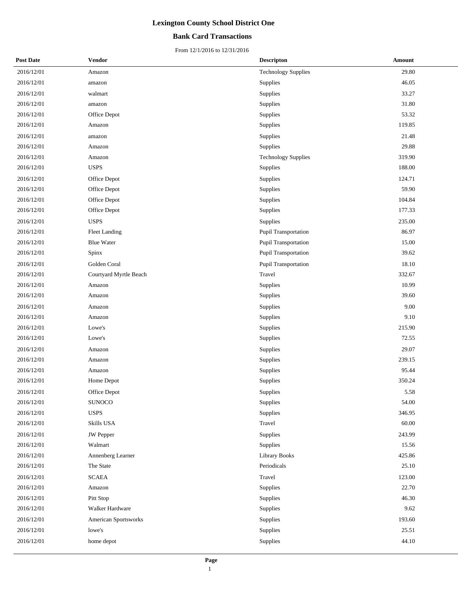## **Bank Card Transactions**

| <b>Post Date</b> | Vendor                 | <b>Descripton</b>          | <b>Amount</b> |
|------------------|------------------------|----------------------------|---------------|
| 2016/12/01       | Amazon                 | <b>Technology Supplies</b> | 29.80         |
| 2016/12/01       | amazon                 | Supplies                   | 46.05         |
| 2016/12/01       | walmart                | Supplies                   | 33.27         |
| 2016/12/01       | amazon                 | Supplies                   | 31.80         |
| 2016/12/01       | Office Depot           | Supplies                   | 53.32         |
| 2016/12/01       | Amazon                 | Supplies                   | 119.85        |
| 2016/12/01       | amazon                 | Supplies                   | 21.48         |
| 2016/12/01       | Amazon                 | Supplies                   | 29.88         |
| 2016/12/01       | Amazon                 | <b>Technology Supplies</b> | 319.90        |
| 2016/12/01       | <b>USPS</b>            | Supplies                   | 188.00        |
| 2016/12/01       | Office Depot           | Supplies                   | 124.71        |
| 2016/12/01       | Office Depot           | Supplies                   | 59.90         |
| 2016/12/01       | Office Depot           | Supplies                   | 104.84        |
| 2016/12/01       | Office Depot           | Supplies                   | 177.33        |
| 2016/12/01       | <b>USPS</b>            | Supplies                   | 235.00        |
| 2016/12/01       | <b>Fleet Landing</b>   | Pupil Transportation       | 86.97         |
| 2016/12/01       | <b>Blue Water</b>      | Pupil Transportation       | 15.00         |
| 2016/12/01       | Spinx                  | Pupil Transportation       | 39.62         |
| 2016/12/01       | Golden Coral           | Pupil Transportation       | 18.10         |
| 2016/12/01       | Courtyard Myrtle Beach | Travel                     | 332.67        |
| 2016/12/01       | Amazon                 | Supplies                   | 10.99         |
| 2016/12/01       | Amazon                 | Supplies                   | 39.60         |
| 2016/12/01       | Amazon                 | Supplies                   | 9.00          |
| 2016/12/01       | Amazon                 | Supplies                   | 9.10          |
| 2016/12/01       | Lowe's                 | Supplies                   | 215.90        |
| 2016/12/01       | Lowe's                 | Supplies                   | 72.55         |
| 2016/12/01       | Amazon                 | Supplies                   | 29.07         |
| 2016/12/01       | Amazon                 | Supplies                   | 239.15        |
| 2016/12/01       | Amazon                 | Supplies                   | 95.44         |
| 2016/12/01       | Home Depot             | Supplies                   | 350.24        |
| 2016/12/01       | Office Depot           | Supplies                   | 5.58          |
| 2016/12/01       | <b>SUNOCO</b>          | Supplies                   | 54.00         |
| 2016/12/01       | <b>USPS</b>            | Supplies                   | 346.95        |
| 2016/12/01       | Skills USA             | Travel                     | 60.00         |
| 2016/12/01       | JW Pepper              | Supplies                   | 243.99        |
| 2016/12/01       | Walmart                | Supplies                   | 15.56         |
| 2016/12/01       | Annenberg Learner      | <b>Library Books</b>       | 425.86        |
| 2016/12/01       | The State              | Periodicals                | 25.10         |
| 2016/12/01       | <b>SCAEA</b>           | Travel                     | 123.00        |
| 2016/12/01       | Amazon                 | Supplies                   | 22.70         |
| 2016/12/01       | Pitt Stop              | Supplies                   | 46.30         |
| 2016/12/01       | Walker Hardware        | Supplies                   | 9.62          |
| 2016/12/01       | American Sportsworks   | Supplies                   | 193.60        |
| 2016/12/01       | lowe's                 | Supplies                   | 25.51         |
| 2016/12/01       | home depot             | Supplies                   | 44.10         |
|                  |                        |                            |               |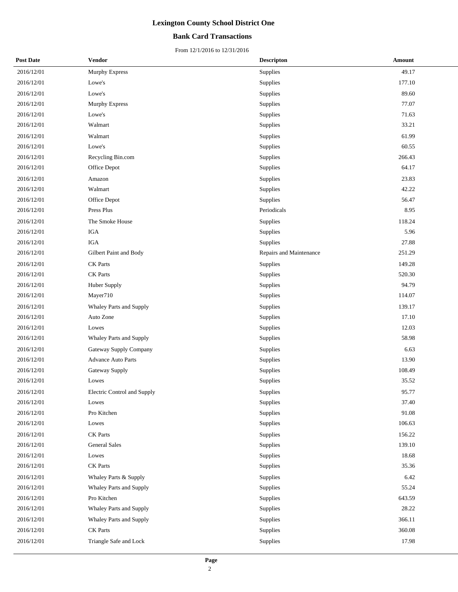## **Bank Card Transactions**

| <b>Post Date</b> | Vendor                      | <b>Descripton</b>       | Amount |  |
|------------------|-----------------------------|-------------------------|--------|--|
| 2016/12/01       | Murphy Express              | Supplies                | 49.17  |  |
| 2016/12/01       | Lowe's                      | Supplies                | 177.10 |  |
| 2016/12/01       | Lowe's                      | Supplies                | 89.60  |  |
| 2016/12/01       | Murphy Express              | Supplies                | 77.07  |  |
| 2016/12/01       | Lowe's                      | Supplies                | 71.63  |  |
| 2016/12/01       | Walmart                     | Supplies                | 33.21  |  |
| 2016/12/01       | Walmart                     | Supplies                | 61.99  |  |
| 2016/12/01       | Lowe's                      | Supplies                | 60.55  |  |
| 2016/12/01       | Recycling Bin.com           | Supplies                | 266.43 |  |
| 2016/12/01       | Office Depot                | Supplies                | 64.17  |  |
| 2016/12/01       | Amazon                      | Supplies                | 23.83  |  |
| 2016/12/01       | Walmart                     | Supplies                | 42.22  |  |
| 2016/12/01       | Office Depot                | Supplies                | 56.47  |  |
| 2016/12/01       | Press Plus                  | Periodicals             | 8.95   |  |
| 2016/12/01       | The Smoke House             | Supplies                | 118.24 |  |
| 2016/12/01       | <b>IGA</b>                  | Supplies                | 5.96   |  |
| 2016/12/01       | <b>IGA</b>                  | Supplies                | 27.88  |  |
| 2016/12/01       | Gilbert Paint and Body      | Repairs and Maintenance | 251.29 |  |
| 2016/12/01       | <b>CK</b> Parts             | Supplies                | 149.28 |  |
| 2016/12/01       | <b>CK</b> Parts             | Supplies                | 520.30 |  |
| 2016/12/01       | Huber Supply                | Supplies                | 94.79  |  |
| 2016/12/01       | Mayer710                    | Supplies                | 114.07 |  |
| 2016/12/01       | Whaley Parts and Supply     | Supplies                | 139.17 |  |
| 2016/12/01       | Auto Zone                   | Supplies                | 17.10  |  |
| 2016/12/01       | Lowes                       | Supplies                | 12.03  |  |
| 2016/12/01       | Whaley Parts and Supply     | Supplies                | 58.98  |  |
| 2016/12/01       | Gateway Supply Company      | Supplies                | 6.63   |  |
| 2016/12/01       | <b>Advance Auto Parts</b>   | Supplies                | 13.90  |  |
| 2016/12/01       | Gateway Supply              | Supplies                | 108.49 |  |
| 2016/12/01       | Lowes                       | Supplies                | 35.52  |  |
| 2016/12/01       | Electric Control and Supply | Supplies                | 95.77  |  |
| 2016/12/01       | Lowes                       | Supplies                | 37.40  |  |
| 2016/12/01       | Pro Kitchen                 | Supplies                | 91.08  |  |
| 2016/12/01       | Lowes                       | Supplies                | 106.63 |  |
| 2016/12/01       | <b>CK</b> Parts             | Supplies                | 156.22 |  |
| 2016/12/01       | <b>General Sales</b>        | Supplies                | 139.10 |  |
| 2016/12/01       | Lowes                       | Supplies                | 18.68  |  |
| 2016/12/01       | <b>CK</b> Parts             | Supplies                | 35.36  |  |
| 2016/12/01       | Whaley Parts & Supply       | Supplies                | 6.42   |  |
| 2016/12/01       | Whaley Parts and Supply     | Supplies                | 55.24  |  |
| 2016/12/01       | Pro Kitchen                 | Supplies                | 643.59 |  |
| 2016/12/01       | Whaley Parts and Supply     | Supplies                | 28.22  |  |
| 2016/12/01       | Whaley Parts and Supply     | Supplies                | 366.11 |  |
| 2016/12/01       | CK Parts                    | Supplies                | 360.08 |  |
| 2016/12/01       | Triangle Safe and Lock      | Supplies                | 17.98  |  |
|                  |                             |                         |        |  |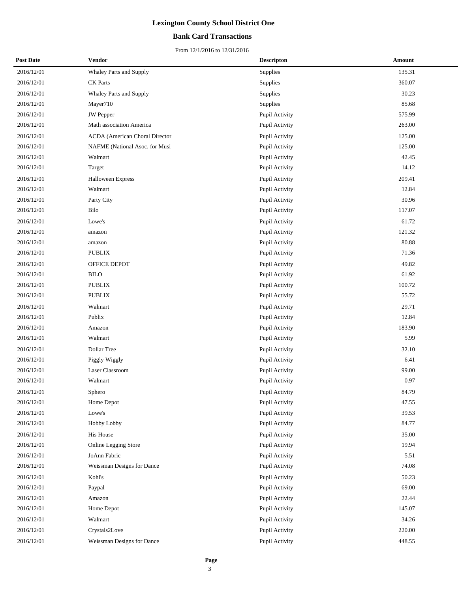## **Bank Card Transactions**

| <b>Post Date</b> | Vendor                                | <b>Descripton</b> | Amount |
|------------------|---------------------------------------|-------------------|--------|
| 2016/12/01       | Whaley Parts and Supply               | Supplies          | 135.31 |
| 2016/12/01       | CK Parts                              | Supplies          | 360.07 |
| 2016/12/01       | Whaley Parts and Supply               | Supplies          | 30.23  |
| 2016/12/01       | Mayer710                              | Supplies          | 85.68  |
| 2016/12/01       | JW Pepper                             | Pupil Activity    | 575.99 |
| 2016/12/01       | Math association America              | Pupil Activity    | 263.00 |
| 2016/12/01       | <b>ACDA</b> (American Choral Director | Pupil Activity    | 125.00 |
| 2016/12/01       | NAFME (National Asoc. for Musi        | Pupil Activity    | 125.00 |
| 2016/12/01       | Walmart                               | Pupil Activity    | 42.45  |
| 2016/12/01       | Target                                | Pupil Activity    | 14.12  |
| 2016/12/01       | <b>Halloween Express</b>              | Pupil Activity    | 209.41 |
| 2016/12/01       | Walmart                               | Pupil Activity    | 12.84  |
| 2016/12/01       | Party City                            | Pupil Activity    | 30.96  |
| 2016/12/01       | Bilo                                  | Pupil Activity    | 117.07 |
| 2016/12/01       | Lowe's                                | Pupil Activity    | 61.72  |
| 2016/12/01       | amazon                                | Pupil Activity    | 121.32 |
| 2016/12/01       | amazon                                | Pupil Activity    | 80.88  |
| 2016/12/01       | <b>PUBLIX</b>                         | Pupil Activity    | 71.36  |
| 2016/12/01       | OFFICE DEPOT                          | Pupil Activity    | 49.82  |
| 2016/12/01       | <b>BILO</b>                           | Pupil Activity    | 61.92  |
| 2016/12/01       | <b>PUBLIX</b>                         | Pupil Activity    | 100.72 |
| 2016/12/01       | <b>PUBLIX</b>                         | Pupil Activity    | 55.72  |
| 2016/12/01       | Walmart                               | Pupil Activity    | 29.71  |
| 2016/12/01       | Publix                                | Pupil Activity    | 12.84  |
| 2016/12/01       | Amazon                                | Pupil Activity    | 183.90 |
| 2016/12/01       | Walmart                               | Pupil Activity    | 5.99   |
| 2016/12/01       | Dollar Tree                           | Pupil Activity    | 32.10  |
| 2016/12/01       | Piggly Wiggly                         | Pupil Activity    | 6.41   |
| 2016/12/01       | Laser Classroom                       | Pupil Activity    | 99.00  |
| 2016/12/01       | Walmart                               | Pupil Activity    | 0.97   |
| 2016/12/01       | Sphero                                | Pupil Activity    | 84.79  |
| 2016/12/01       | Home Depot                            | Pupil Activity    | 47.55  |
| 2016/12/01       | Lowe's                                | Pupil Activity    | 39.53  |
| 2016/12/01       | Hobby Lobby                           | Pupil Activity    | 84.77  |
| 2016/12/01       | His House                             | Pupil Activity    | 35.00  |
| 2016/12/01       | Online Legging Store                  | Pupil Activity    | 19.94  |
| 2016/12/01       | JoAnn Fabric                          | Pupil Activity    | 5.51   |
| 2016/12/01       | Weissman Designs for Dance            | Pupil Activity    | 74.08  |
| 2016/12/01       | Kohl's                                | Pupil Activity    | 50.23  |
| 2016/12/01       | Paypal                                | Pupil Activity    | 69.00  |
| 2016/12/01       | Amazon                                | Pupil Activity    | 22.44  |
| 2016/12/01       | Home Depot                            | Pupil Activity    | 145.07 |
| 2016/12/01       | Walmart                               | Pupil Activity    | 34.26  |
| 2016/12/01       | Crystals2Love                         | Pupil Activity    | 220.00 |
| 2016/12/01       | Weissman Designs for Dance            | Pupil Activity    | 448.55 |
|                  |                                       |                   |        |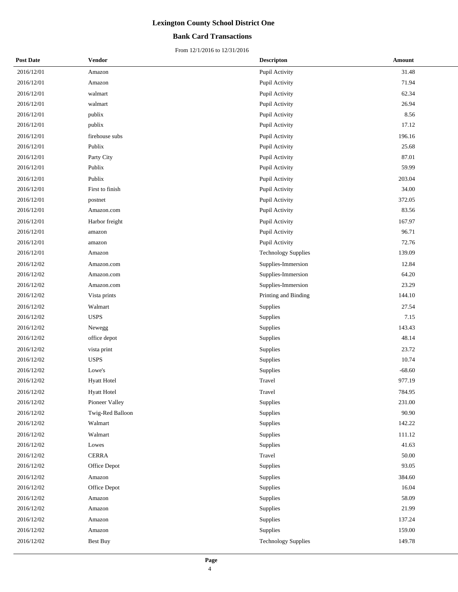## **Bank Card Transactions**

| <b>Post Date</b> | Vendor             | <b>Descripton</b>          | Amount   |
|------------------|--------------------|----------------------------|----------|
| 2016/12/01       | Amazon             | Pupil Activity             | 31.48    |
| 2016/12/01       | Amazon             | Pupil Activity             | 71.94    |
| 2016/12/01       | walmart            | Pupil Activity             | 62.34    |
| 2016/12/01       | walmart            | Pupil Activity             | 26.94    |
| 2016/12/01       | publix             | Pupil Activity             | 8.56     |
| 2016/12/01       | publix             | Pupil Activity             | 17.12    |
| 2016/12/01       | firehouse subs     | Pupil Activity             | 196.16   |
| 2016/12/01       | Publix             | Pupil Activity             | 25.68    |
| 2016/12/01       | Party City         | Pupil Activity             | 87.01    |
| 2016/12/01       | Publix             | Pupil Activity             | 59.99    |
| 2016/12/01       | Publix             | Pupil Activity             | 203.04   |
| 2016/12/01       | First to finish    | Pupil Activity             | 34.00    |
| 2016/12/01       | postnet            | Pupil Activity             | 372.05   |
| 2016/12/01       | Amazon.com         | Pupil Activity             | 83.56    |
| 2016/12/01       | Harbor freight     | Pupil Activity             | 167.97   |
| 2016/12/01       | amazon             | Pupil Activity             | 96.71    |
| 2016/12/01       | amazon             | Pupil Activity             | 72.76    |
| 2016/12/01       | Amazon             | <b>Technology Supplies</b> | 139.09   |
| 2016/12/02       | Amazon.com         | Supplies-Immersion         | 12.84    |
| 2016/12/02       | Amazon.com         | Supplies-Immersion         | 64.20    |
| 2016/12/02       | Amazon.com         | Supplies-Immersion         | 23.29    |
| 2016/12/02       | Vista prints       | Printing and Binding       | 144.10   |
| 2016/12/02       | Walmart            | Supplies                   | 27.54    |
| 2016/12/02       | <b>USPS</b>        | Supplies                   | 7.15     |
| 2016/12/02       | Newegg             | Supplies                   | 143.43   |
| 2016/12/02       | office depot       | Supplies                   | 48.14    |
| 2016/12/02       | vista print        | Supplies                   | 23.72    |
| 2016/12/02       | <b>USPS</b>        | Supplies                   | 10.74    |
| 2016/12/02       | Lowe's             | Supplies                   | $-68.60$ |
| 2016/12/02       | <b>Hyatt Hotel</b> | Travel                     | 977.19   |
| 2016/12/02       | <b>Hyatt Hotel</b> | Travel                     | 784.95   |
| 2016/12/02       | Pioneer Valley     | Supplies                   | 231.00   |
| 2016/12/02       | Twig-Red Balloon   | Supplies                   | 90.90    |
| 2016/12/02       | Walmart            | Supplies                   | 142.22   |
| 2016/12/02       | Walmart            | Supplies                   | 111.12   |
| 2016/12/02       | Lowes              | Supplies                   | 41.63    |
| 2016/12/02       | <b>CERRA</b>       | Travel                     | 50.00    |
| 2016/12/02       | Office Depot       | Supplies                   | 93.05    |
| 2016/12/02       | Amazon             | Supplies                   | 384.60   |
| 2016/12/02       | Office Depot       | Supplies                   | 16.04    |
| 2016/12/02       | Amazon             | Supplies                   | 58.09    |
| 2016/12/02       | Amazon             | Supplies                   | 21.99    |
| 2016/12/02       | Amazon             | Supplies                   | 137.24   |
| 2016/12/02       | Amazon             | Supplies                   | 159.00   |
| 2016/12/02       | Best Buy           | <b>Technology Supplies</b> | 149.78   |
|                  |                    |                            |          |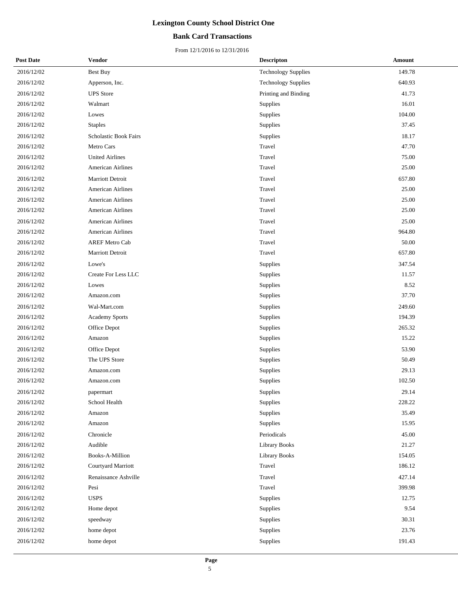## **Bank Card Transactions**

| <b>Post Date</b> | Vendor                   | <b>Descripton</b>          | Amount |
|------------------|--------------------------|----------------------------|--------|
| 2016/12/02       | Best Buy                 | <b>Technology Supplies</b> | 149.78 |
| 2016/12/02       | Apperson, Inc.           | <b>Technology Supplies</b> | 640.93 |
| 2016/12/02       | <b>UPS</b> Store         | Printing and Binding       | 41.73  |
| 2016/12/02       | Walmart                  | Supplies                   | 16.01  |
| 2016/12/02       | Lowes                    | Supplies                   | 104.00 |
| 2016/12/02       | <b>Staples</b>           | Supplies                   | 37.45  |
| 2016/12/02       | Scholastic Book Fairs    | Supplies                   | 18.17  |
| 2016/12/02       | Metro Cars               | Travel                     | 47.70  |
| 2016/12/02       | <b>United Airlines</b>   | Travel                     | 75.00  |
| 2016/12/02       | American Airlines        | Travel                     | 25.00  |
| 2016/12/02       | Marriott Detroit         | Travel                     | 657.80 |
| 2016/12/02       | American Airlines        | Travel                     | 25.00  |
| 2016/12/02       | American Airlines        | Travel                     | 25.00  |
| 2016/12/02       | <b>American Airlines</b> | Travel                     | 25.00  |
| 2016/12/02       | <b>American Airlines</b> | Travel                     | 25.00  |
| 2016/12/02       | <b>American Airlines</b> | Travel                     | 964.80 |
| 2016/12/02       | <b>AREF Metro Cab</b>    | Travel                     | 50.00  |
| 2016/12/02       | Marriott Detroit         | Travel                     | 657.80 |
| 2016/12/02       | Lowe's                   | Supplies                   | 347.54 |
| 2016/12/02       | Create For Less LLC      | Supplies                   | 11.57  |
| 2016/12/02       | Lowes                    | Supplies                   | 8.52   |
| 2016/12/02       | Amazon.com               | Supplies                   | 37.70  |
| 2016/12/02       | Wal-Mart.com             | Supplies                   | 249.60 |
| 2016/12/02       | <b>Academy Sports</b>    | Supplies                   | 194.39 |
| 2016/12/02       | Office Depot             | Supplies                   | 265.32 |
| 2016/12/02       | Amazon                   | Supplies                   | 15.22  |
| 2016/12/02       | Office Depot             | Supplies                   | 53.90  |
| 2016/12/02       | The UPS Store            | Supplies                   | 50.49  |
| 2016/12/02       | Amazon.com               | Supplies                   | 29.13  |
| 2016/12/02       | Amazon.com               | Supplies                   | 102.50 |
| 2016/12/02       | $\,$ papermart           | Supplies                   | 29.14  |
| 2016/12/02       | School Health            | Supplies                   | 228.22 |
| 2016/12/02       | Amazon                   | Supplies                   | 35.49  |
| 2016/12/02       | Amazon                   | Supplies                   | 15.95  |
| 2016/12/02       | Chronicle                | Periodicals                | 45.00  |
| 2016/12/02       | Audible                  | <b>Library Books</b>       | 21.27  |
| 2016/12/02       | Books-A-Million          | Library Books              | 154.05 |
| 2016/12/02       | Courtyard Marriott       | Travel                     | 186.12 |
| 2016/12/02       | Renaissance Ashville     | Travel                     | 427.14 |
| 2016/12/02       | Pesi                     | Travel                     | 399.98 |
| 2016/12/02       | <b>USPS</b>              | Supplies                   | 12.75  |
| 2016/12/02       | Home depot               | Supplies                   | 9.54   |
| 2016/12/02       | speedway                 | Supplies                   | 30.31  |
| 2016/12/02       | home depot               | Supplies                   | 23.76  |
| 2016/12/02       | home depot               | Supplies                   | 191.43 |
|                  |                          |                            |        |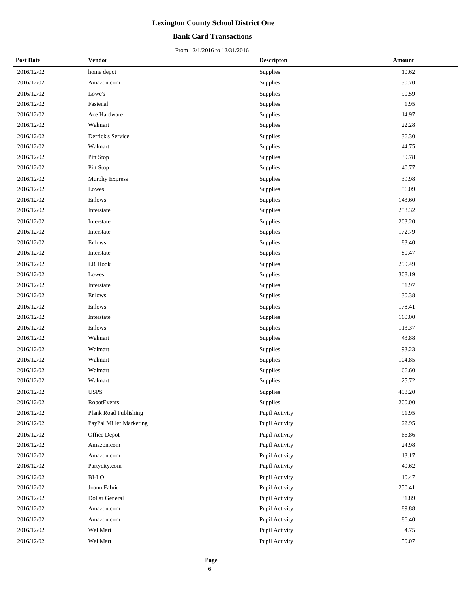## **Bank Card Transactions**

| <b>Post Date</b> | Vendor                  | <b>Descripton</b> | <b>Amount</b> |
|------------------|-------------------------|-------------------|---------------|
| 2016/12/02       | home depot              | Supplies          | 10.62         |
| 2016/12/02       | Amazon.com              | Supplies          | 130.70        |
| 2016/12/02       | Lowe's                  | Supplies          | 90.59         |
| 2016/12/02       | Fastenal                | Supplies          | 1.95          |
| 2016/12/02       | Ace Hardware            | Supplies          | 14.97         |
| 2016/12/02       | Walmart                 | Supplies          | 22.28         |
| 2016/12/02       | Derrick's Service       | Supplies          | 36.30         |
| 2016/12/02       | Walmart                 | Supplies          | 44.75         |
| 2016/12/02       | Pitt Stop               | Supplies          | 39.78         |
| 2016/12/02       | Pitt Stop               | Supplies          | 40.77         |
| 2016/12/02       | <b>Murphy Express</b>   | Supplies          | 39.98         |
| 2016/12/02       | Lowes                   | Supplies          | 56.09         |
| 2016/12/02       | Enlows                  | Supplies          | 143.60        |
| 2016/12/02       | Interstate              | Supplies          | 253.32        |
| 2016/12/02       | Interstate              | Supplies          | 203.20        |
| 2016/12/02       | Interstate              | Supplies          | 172.79        |
| 2016/12/02       | Enlows                  | Supplies          | 83.40         |
| 2016/12/02       | Interstate              | Supplies          | 80.47         |
| 2016/12/02       | LR Hook                 | Supplies          | 299.49        |
| 2016/12/02       | Lowes                   | Supplies          | 308.19        |
| 2016/12/02       | Interstate              | Supplies          | 51.97         |
| 2016/12/02       | Enlows                  | Supplies          | 130.38        |
| 2016/12/02       | Enlows                  | Supplies          | 178.41        |
| 2016/12/02       | Interstate              | Supplies          | 160.00        |
| 2016/12/02       | Enlows                  | Supplies          | 113.37        |
| 2016/12/02       | Walmart                 | Supplies          | 43.88         |
| 2016/12/02       | Walmart                 | Supplies          | 93.23         |
| 2016/12/02       | Walmart                 | Supplies          | 104.85        |
| 2016/12/02       | Walmart                 | Supplies          | 66.60         |
| 2016/12/02       | Walmart                 | Supplies          | 25.72         |
| 2016/12/02       | <b>USPS</b>             | Supplies          | 498.20        |
| 2016/12/02       | RobotEvents             | Supplies          | 200.00        |
| 2016/12/02       | Plank Road Publishing   | Pupil Activity    | 91.95         |
| 2016/12/02       | PayPal Miller Marketing | Pupil Activity    | 22.95         |
| 2016/12/02       | Office Depot            | Pupil Activity    | 66.86         |
| 2016/12/02       | Amazon.com              | Pupil Activity    | 24.98         |
| 2016/12/02       | Amazon.com              | Pupil Activity    | 13.17         |
| 2016/12/02       | Partycity.com           | Pupil Activity    | 40.62         |
| 2016/12/02       | <b>BI-LO</b>            | Pupil Activity    | 10.47         |
| 2016/12/02       | Joann Fabric            | Pupil Activity    | 250.41        |
| 2016/12/02       | Dollar General          | Pupil Activity    | 31.89         |
| 2016/12/02       | Amazon.com              | Pupil Activity    | 89.88         |
| 2016/12/02       | Amazon.com              | Pupil Activity    | 86.40         |
| 2016/12/02       | Wal Mart                | Pupil Activity    | 4.75          |
| 2016/12/02       | Wal Mart                | Pupil Activity    | 50.07         |
|                  |                         |                   |               |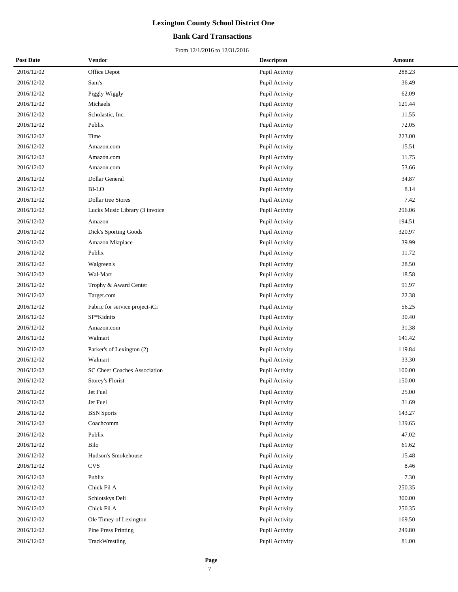## **Bank Card Transactions**

| <b>Post Date</b> | Vendor                         | <b>Descripton</b> | Amount |
|------------------|--------------------------------|-------------------|--------|
| 2016/12/02       | Office Depot                   | Pupil Activity    | 288.23 |
| 2016/12/02       | Sam's                          | Pupil Activity    | 36.49  |
| 2016/12/02       | Piggly Wiggly                  | Pupil Activity    | 62.09  |
| 2016/12/02       | Michaels                       | Pupil Activity    | 121.44 |
| 2016/12/02       | Scholastic, Inc.               | Pupil Activity    | 11.55  |
| 2016/12/02       | Publix                         | Pupil Activity    | 72.05  |
| 2016/12/02       | Time                           | Pupil Activity    | 223.00 |
| 2016/12/02       | Amazon.com                     | Pupil Activity    | 15.51  |
| 2016/12/02       | Amazon.com                     | Pupil Activity    | 11.75  |
| 2016/12/02       | Amazon.com                     | Pupil Activity    | 53.66  |
| 2016/12/02       | Dollar General                 | Pupil Activity    | 34.87  |
| 2016/12/02       | <b>BI-LO</b>                   | Pupil Activity    | 8.14   |
| 2016/12/02       | Dollar tree Stores             | Pupil Activity    | 7.42   |
| 2016/12/02       | Lucks Music Library (3 invoice | Pupil Activity    | 296.06 |
| 2016/12/02       | Amazon                         | Pupil Activity    | 194.51 |
| 2016/12/02       | Dick's Sporting Goods          | Pupil Activity    | 320.97 |
| 2016/12/02       | Amazon Mktplace                | Pupil Activity    | 39.99  |
| 2016/12/02       | Publix                         | Pupil Activity    | 11.72  |
| 2016/12/02       | Walgreen's                     | Pupil Activity    | 28.50  |
| 2016/12/02       | Wal-Mart                       | Pupil Activity    | 18.58  |
| 2016/12/02       | Trophy & Award Center          | Pupil Activity    | 91.97  |
| 2016/12/02       | Target.com                     | Pupil Activity    | 22.38  |
| 2016/12/02       | Fabric for service project-iCi | Pupil Activity    | 56.25  |
| 2016/12/02       | SP*Kidnits                     | Pupil Activity    | 30.40  |
| 2016/12/02       | Amazon.com                     | Pupil Activity    | 31.38  |
| 2016/12/02       | Walmart                        | Pupil Activity    | 141.42 |
| 2016/12/02       | Parker's of Lexington (2)      | Pupil Activity    | 119.84 |
| 2016/12/02       | Walmart                        | Pupil Activity    | 33.30  |
| 2016/12/02       | SC Cheer Coaches Association   | Pupil Activity    | 100.00 |
| 2016/12/02       | Storey's Florist               | Pupil Activity    | 150.00 |
| 2016/12/02       | Jet Fuel                       | Pupil Activity    | 25.00  |
| 2016/12/02       | Jet Fuel                       | Pupil Activity    | 31.69  |
| 2016/12/02       | <b>BSN</b> Sports              | Pupil Activity    | 143.27 |
| 2016/12/02       | Coachcomm                      | Pupil Activity    | 139.65 |
| 2016/12/02       | Publix                         | Pupil Activity    | 47.02  |
| 2016/12/02       | Bilo                           | Pupil Activity    | 61.62  |
| 2016/12/02       | Hudson's Smokehouse            | Pupil Activity    | 15.48  |
| 2016/12/02       | <b>CVS</b>                     | Pupil Activity    | 8.46   |
| 2016/12/02       | Publix                         | Pupil Activity    | 7.30   |
| 2016/12/02       | Chick Fil A                    | Pupil Activity    | 250.35 |
| 2016/12/02       | Schlotskys Deli                | Pupil Activity    | 300.00 |
| 2016/12/02       | Chick Fil A                    | Pupil Activity    | 250.35 |
| 2016/12/02       | Ole Timey of Lexington         | Pupil Activity    | 169.50 |
| 2016/12/02       | Pine Press Printing            | Pupil Activity    | 249.80 |
| 2016/12/02       | TrackWrestling                 | Pupil Activity    | 81.00  |
|                  |                                |                   |        |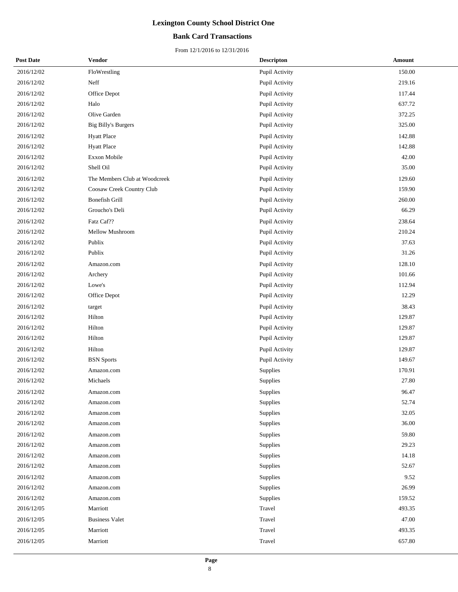## **Bank Card Transactions**

| <b>Post Date</b> | Vendor                        | <b>Descripton</b> | <b>Amount</b> |
|------------------|-------------------------------|-------------------|---------------|
| 2016/12/02       | FloWrestling                  | Pupil Activity    | 150.00        |
| 2016/12/02       | Neff                          | Pupil Activity    | 219.16        |
| 2016/12/02       | Office Depot                  | Pupil Activity    | 117.44        |
| 2016/12/02       | Halo                          | Pupil Activity    | 637.72        |
| 2016/12/02       | Olive Garden                  | Pupil Activity    | 372.25        |
| 2016/12/02       | <b>Big Billy's Burgers</b>    | Pupil Activity    | 325.00        |
| 2016/12/02       | <b>Hyatt Place</b>            | Pupil Activity    | 142.88        |
| 2016/12/02       | <b>Hyatt Place</b>            | Pupil Activity    | 142.88        |
| 2016/12/02       | <b>Exxon Mobile</b>           | Pupil Activity    | 42.00         |
| 2016/12/02       | Shell Oil                     | Pupil Activity    | 35.00         |
| 2016/12/02       | The Members Club at Woodcreek | Pupil Activity    | 129.60        |
| 2016/12/02       | Coosaw Creek Country Club     | Pupil Activity    | 159.90        |
| 2016/12/02       | Bonefish Grill                | Pupil Activity    | 260.00        |
| 2016/12/02       | Groucho's Deli                | Pupil Activity    | 66.29         |
| 2016/12/02       | Fatz Caf??                    | Pupil Activity    | 238.64        |
| 2016/12/02       | Mellow Mushroom               | Pupil Activity    | 210.24        |
| 2016/12/02       | Publix                        | Pupil Activity    | 37.63         |
| 2016/12/02       | Publix                        | Pupil Activity    | 31.26         |
| 2016/12/02       | Amazon.com                    | Pupil Activity    | 128.10        |
| 2016/12/02       | Archery                       | Pupil Activity    | 101.66        |
| 2016/12/02       | Lowe's                        | Pupil Activity    | 112.94        |
| 2016/12/02       | Office Depot                  | Pupil Activity    | 12.29         |
| 2016/12/02       | target                        | Pupil Activity    | 38.43         |
| 2016/12/02       | Hilton                        | Pupil Activity    | 129.87        |
| 2016/12/02       | Hilton                        | Pupil Activity    | 129.87        |
| 2016/12/02       | Hilton                        | Pupil Activity    | 129.87        |
| 2016/12/02       | Hilton                        | Pupil Activity    | 129.87        |
| 2016/12/02       | <b>BSN</b> Sports             | Pupil Activity    | 149.67        |
| 2016/12/02       | Amazon.com                    | Supplies          | 170.91        |
| 2016/12/02       | Michaels                      | Supplies          | 27.80         |
| 2016/12/02       | Amazon.com                    | Supplies          | 96.47         |
| 2016/12/02       | Amazon.com                    | Supplies          | 52.74         |
| 2016/12/02       | Amazon.com                    | Supplies          | 32.05         |
| 2016/12/02       | Amazon.com                    | Supplies          | 36.00         |
| 2016/12/02       | Amazon.com                    | Supplies          | 59.80         |
| 2016/12/02       | Amazon.com                    | Supplies          | 29.23         |
| 2016/12/02       | Amazon.com                    | Supplies          | 14.18         |
| 2016/12/02       | Amazon.com                    | Supplies          | 52.67         |
| 2016/12/02       | Amazon.com                    | Supplies          | 9.52          |
| 2016/12/02       | Amazon.com                    | Supplies          | 26.99         |
| 2016/12/02       | Amazon.com                    | Supplies          | 159.52        |
| 2016/12/05       | Marriott                      | Travel            | 493.35        |
| 2016/12/05       | <b>Business Valet</b>         | Travel            | 47.00         |
| 2016/12/05       | Marriott                      | Travel            | 493.35        |
| 2016/12/05       | Marriott                      | Travel            | 657.80        |
|                  |                               |                   |               |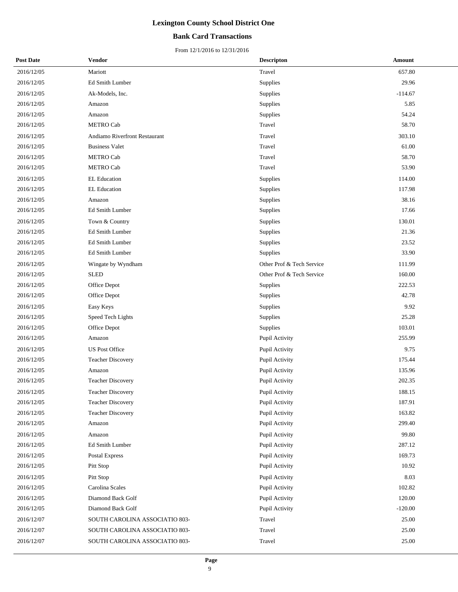## **Bank Card Transactions**

| <b>Post Date</b> | Vendor                         | <b>Descripton</b>         | Amount    |
|------------------|--------------------------------|---------------------------|-----------|
| 2016/12/05       | Mariott                        | Travel                    | 657.80    |
| 2016/12/05       | Ed Smith Lumber                | Supplies                  | 29.96     |
| 2016/12/05       | Ak-Models, Inc.                | Supplies                  | $-114.67$ |
| 2016/12/05       | Amazon                         | Supplies                  | 5.85      |
| 2016/12/05       | Amazon                         | Supplies                  | 54.24     |
| 2016/12/05       | <b>METRO Cab</b>               | Travel                    | 58.70     |
| 2016/12/05       | Andiamo Riverfront Restaurant  | Travel                    | 303.10    |
| 2016/12/05       | <b>Business Valet</b>          | Travel                    | 61.00     |
| 2016/12/05       | <b>METRO Cab</b>               | Travel                    | 58.70     |
| 2016/12/05       | <b>METRO Cab</b>               | Travel                    | 53.90     |
| 2016/12/05       | EL Education                   | Supplies                  | 114.00    |
| 2016/12/05       | <b>EL Education</b>            | Supplies                  | 117.98    |
| 2016/12/05       | Amazon                         | Supplies                  | 38.16     |
| 2016/12/05       | Ed Smith Lumber                | Supplies                  | 17.66     |
| 2016/12/05       | Town & Country                 | Supplies                  | 130.01    |
| 2016/12/05       | Ed Smith Lumber                | Supplies                  | 21.36     |
| 2016/12/05       | <b>Ed Smith Lumber</b>         | Supplies                  | 23.52     |
| 2016/12/05       | Ed Smith Lumber                | Supplies                  | 33.90     |
| 2016/12/05       | Wingate by Wyndham             | Other Prof & Tech Service | 111.99    |
| 2016/12/05       | <b>SLED</b>                    | Other Prof & Tech Service | 160.00    |
| 2016/12/05       | Office Depot                   | Supplies                  | 222.53    |
| 2016/12/05       | Office Depot                   | Supplies                  | 42.78     |
| 2016/12/05       | Easy Keys                      | Supplies                  | 9.92      |
| 2016/12/05       | Speed Tech Lights              | Supplies                  | 25.28     |
| 2016/12/05       | Office Depot                   | Supplies                  | 103.01    |
| 2016/12/05       | Amazon                         | Pupil Activity            | 255.99    |
| 2016/12/05       | <b>US Post Office</b>          | Pupil Activity            | 9.75      |
| 2016/12/05       | <b>Teacher Discovery</b>       | Pupil Activity            | 175.44    |
| 2016/12/05       | Amazon                         | Pupil Activity            | 135.96    |
| 2016/12/05       | <b>Teacher Discovery</b>       | Pupil Activity            | 202.35    |
| 2016/12/05       | Teacher Discovery              | <b>Pupil Activity</b>     | 188.15    |
| 2016/12/05       | <b>Teacher Discovery</b>       | Pupil Activity            | 187.91    |
| 2016/12/05       | <b>Teacher Discovery</b>       | Pupil Activity            | 163.82    |
| 2016/12/05       | Amazon                         | Pupil Activity            | 299.40    |
| 2016/12/05       | Amazon                         | Pupil Activity            | 99.80     |
| 2016/12/05       | Ed Smith Lumber                | Pupil Activity            | 287.12    |
| 2016/12/05       | Postal Express                 | Pupil Activity            | 169.73    |
| 2016/12/05       | Pitt Stop                      | Pupil Activity            | 10.92     |
| 2016/12/05       | Pitt Stop                      | Pupil Activity            | 8.03      |
| 2016/12/05       | Carolina Scales                | Pupil Activity            | 102.82    |
| 2016/12/05       | Diamond Back Golf              | Pupil Activity            | 120.00    |
| 2016/12/05       | Diamond Back Golf              | Pupil Activity            | $-120.00$ |
| 2016/12/07       | SOUTH CAROLINA ASSOCIATIO 803- | Travel                    | 25.00     |
| 2016/12/07       | SOUTH CAROLINA ASSOCIATIO 803- | Travel                    | 25.00     |
| 2016/12/07       | SOUTH CAROLINA ASSOCIATIO 803- | Travel                    | 25.00     |
|                  |                                |                           |           |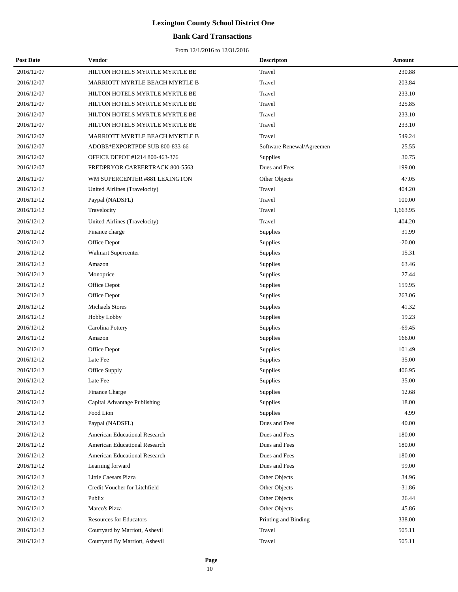## **Bank Card Transactions**

| <b>Post Date</b> | Vendor                               | <b>Descripton</b>         | Amount   |
|------------------|--------------------------------------|---------------------------|----------|
| 2016/12/07       | HILTON HOTELS MYRTLE MYRTLE BE       | Travel                    | 230.88   |
| 2016/12/07       | MARRIOTT MYRTLE BEACH MYRTLE B       | Travel                    | 203.84   |
| 2016/12/07       | HILTON HOTELS MYRTLE MYRTLE BE       | Travel                    | 233.10   |
| 2016/12/07       | HILTON HOTELS MYRTLE MYRTLE BE       | Travel                    | 325.85   |
| 2016/12/07       | HILTON HOTELS MYRTLE MYRTLE BE       | Travel                    | 233.10   |
| 2016/12/07       | HILTON HOTELS MYRTLE MYRTLE BE       | Travel                    | 233.10   |
| 2016/12/07       | MARRIOTT MYRTLE BEACH MYRTLE B       | Travel                    | 549.24   |
| 2016/12/07       | ADOBE*EXPORTPDF SUB 800-833-66       | Software Renewal/Agreemen | 25.55    |
| 2016/12/07       | OFFICE DEPOT #1214 800-463-376       | Supplies                  | 30.75    |
| 2016/12/07       | FREDPRYOR CAREERTRACK 800-5563       | Dues and Fees             | 199.00   |
| 2016/12/07       | WM SUPERCENTER #881 LEXINGTON        | Other Objects             | 47.05    |
| 2016/12/12       | United Airlines (Travelocity)        | Travel                    | 404.20   |
| 2016/12/12       | Paypal (NADSFL)                      | Travel                    | 100.00   |
| 2016/12/12       | Travelocity                          | Travel                    | 1,663.95 |
| 2016/12/12       | United Airlines (Travelocity)        | Travel                    | 404.20   |
| 2016/12/12       | Finance charge                       | Supplies                  | 31.99    |
| 2016/12/12       | Office Depot                         | Supplies                  | $-20.00$ |
| 2016/12/12       | Walmart Supercenter                  | Supplies                  | 15.31    |
| 2016/12/12       | Amazon                               | Supplies                  | 63.46    |
| 2016/12/12       | Monoprice                            | Supplies                  | 27.44    |
| 2016/12/12       | Office Depot                         | Supplies                  | 159.95   |
| 2016/12/12       | Office Depot                         | Supplies                  | 263.06   |
| 2016/12/12       | <b>Michaels Stores</b>               | Supplies                  | 41.32    |
| 2016/12/12       | Hobby Lobby                          | Supplies                  | 19.23    |
| 2016/12/12       | Carolina Pottery                     | Supplies                  | $-69.45$ |
| 2016/12/12       | Amazon                               | Supplies                  | 166.00   |
| 2016/12/12       | Office Depot                         | Supplies                  | 101.49   |
| 2016/12/12       | Late Fee                             | Supplies                  | 35.00    |
| 2016/12/12       | Office Supply                        | Supplies                  | 406.95   |
| 2016/12/12       | Late Fee                             | Supplies                  | 35.00    |
| 2016/12/12       | Finance Charge                       | Supplies                  | 12.68    |
| 2016/12/12       | Capital Advantage Publishing         | Supplies                  | 18.00    |
| 2016/12/12       | Food Lion                            | Supplies                  | 4.99     |
| 2016/12/12       | Paypal (NADSFL)                      | Dues and Fees             | 40.00    |
| 2016/12/12       | American Educational Research        | Dues and Fees             | 180.00   |
| 2016/12/12       | <b>American Educational Research</b> | Dues and Fees             | 180.00   |
| 2016/12/12       | American Educational Research        | Dues and Fees             | 180.00   |
| 2016/12/12       | Learning forward                     | Dues and Fees             | 99.00    |
| 2016/12/12       | Little Caesars Pizza                 | Other Objects             | 34.96    |
| 2016/12/12       | Credit Voucher for Litchfield        | Other Objects             | $-31.86$ |
| 2016/12/12       | Publix                               | Other Objects             | 26.44    |
| 2016/12/12       | Marco's Pizza                        | Other Objects             | 45.86    |
| 2016/12/12       | <b>Resources for Educators</b>       | Printing and Binding      | 338.00   |
| 2016/12/12       | Courtyard by Marriott, Ashevil       | Travel                    | 505.11   |
| 2016/12/12       | Courtyard By Marriott, Ashevil       | Travel                    | 505.11   |
|                  |                                      |                           |          |